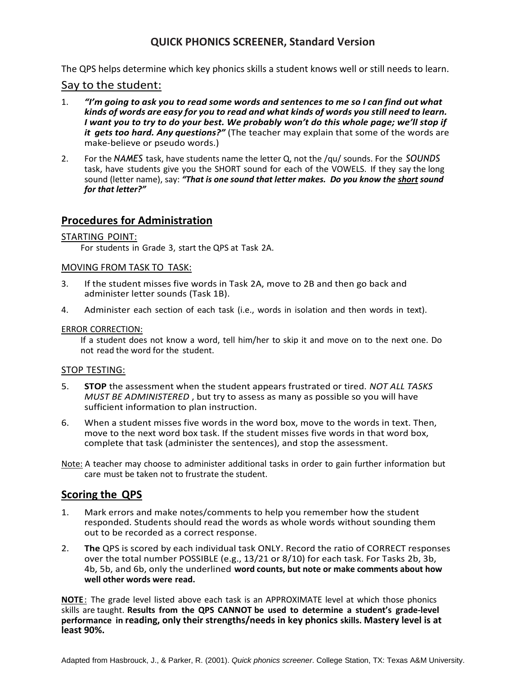#### **QUICK PHONICS SCREENER, Standard Version**

The QPS helps determine which key phonics skills a student knows well or still needs to learn.

#### Say to the student:

- 1. *"I'm going to ask you to read some words and sentences to me so I can find out what kinds of words are easy for you to read and what kinds of words you still need to learn. I want you to try to do your best. We probably won't do this whole page; we'll stop if it gets too hard. Any questions?"* (The teacher may explain that some of the words are make-believe or pseudo words.)
- 2. For the *NAMES* task, have students name the letter Q, not the /qu/ sounds. For the *SOUNDS* task, have students give you the SHORT sound for each of the VOWELS. If they say the long sound (letter name), say: *"That is one sound that letter makes. Do you know the short sound for that letter?"*

#### **Procedures for Administration**

#### STARTING POINT:

For students in Grade 3, start the QPS at Task 2A.

#### MOVING FROM TASK TO TASK:

- 3. If the student misses five words in Task 2A, move to 2B and then go back and administer letter sounds (Task 1B).
- 4. Administer each section of each task (i.e., words in isolation and then words in text).

#### ERROR CORRECTION:

If a student does not know a word, tell him/her to skip it and move on to the next one. Do not read the word for the student.

#### STOP TESTING:

- 5. **STOP** the assessment when the student appears frustrated or tired. *NOT ALL TASKS MUST BE ADMINISTERED* , but try to assess as many as possible so you will have sufficient information to plan instruction.
- 6. When a student misses five words in the word box, move to the words in text. Then, move to the next word box task. If the student misses five words in that word box, complete that task (administer the sentences), and stop the assessment.

Note: A teacher may choose to administer additional tasks in order to gain further information but care must be taken not to frustrate the student.

#### **Scoring the QPS**

- 1. Mark errors and make notes/comments to help you remember how the student responded. Students should read the words as whole words without sounding them out to be recorded as a correct response.
- 2. **The** QPS is scored by each individual task ONLY. Record the ratio of CORRECT responses over the total number POSSIBLE (e.g., 13/21 or 8/10) for each task. For Tasks 2b, 3b, 4b, 5b, and 6b, only the underlined **word counts, but note or make comments about how well other words were read.**

**NOTE**: The grade level listed above each task is an APPROXIMATE level at which those phonics skills are taught. **Results from the QPS CANNOT be used to determine a student's grade-level performance in reading, only their strengths/needs in key phonics skills. Mastery level is at least 90%.**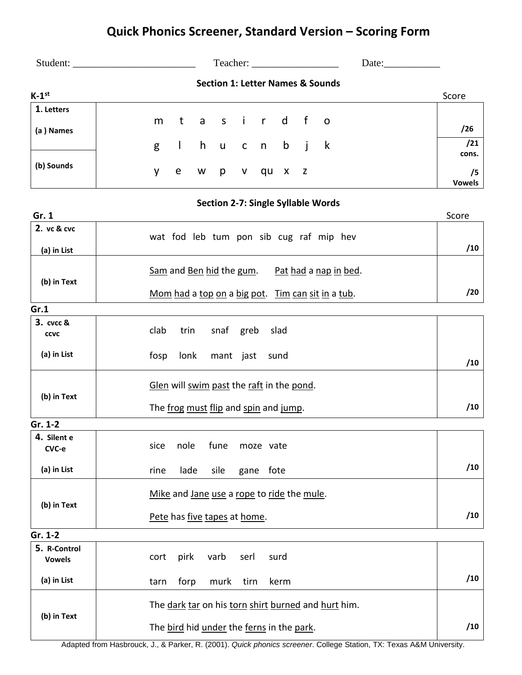## **Quick Phonics Screener, Standard Version – Scoring Form**

| Student:                 |  |  |  | Teacher:         |  |                                             | Date: |               |
|--------------------------|--|--|--|------------------|--|---------------------------------------------|-------|---------------|
|                          |  |  |  |                  |  | <b>Section 1: Letter Names &amp; Sounds</b> |       |               |
| $K-1^{st}$               |  |  |  |                  |  |                                             |       | Score         |
| $\overline{1}$ . Letters |  |  |  |                  |  |                                             |       |               |
|                          |  |  |  | m tasir d fo     |  |                                             |       | /26           |
| (a) Names                |  |  |  |                  |  |                                             |       |               |
|                          |  |  |  | g I hucnbjk      |  |                                             |       | /21           |
|                          |  |  |  |                  |  |                                             |       | cons.         |
| (b) Sounds               |  |  |  | y e w p v qu x z |  |                                             |       | /5            |
|                          |  |  |  |                  |  |                                             |       | <b>Vowels</b> |

|                               | <b>Section 2-7: Single Syllable Words</b>            |       |  |  |  |  |
|-------------------------------|------------------------------------------------------|-------|--|--|--|--|
| Gr. 1                         |                                                      | Score |  |  |  |  |
| 2. vc & cvc                   | wat fod leb tum pon sib cug raf mip hev              |       |  |  |  |  |
| (a) in List                   |                                                      | /10   |  |  |  |  |
| (b) in Text                   | Sam and Ben hid the gum.<br>Pat had a nap in bed.    |       |  |  |  |  |
|                               | Mom had a top on a big pot.<br>Tim can sit in a tub. | /20   |  |  |  |  |
| Gr.1                          |                                                      |       |  |  |  |  |
| 3. cvcc &<br><b>CCVC</b>      | clab<br>trin<br>snaf<br>greb<br>slad                 |       |  |  |  |  |
| (a) in List                   | fosp<br>lonk<br>mant jast<br>sund                    | /10   |  |  |  |  |
| (b) in Text                   | Glen will swim past the raft in the pond.            |       |  |  |  |  |
|                               | /10                                                  |       |  |  |  |  |
| Gr. 1-2                       |                                                      |       |  |  |  |  |
| 4. Silent e<br>CVC-e          | nole<br>fune<br>sice<br>moze vate                    |       |  |  |  |  |
| (a) in List                   | lade<br>sile<br>gane fote<br>rine                    | /10   |  |  |  |  |
| (b) in Text                   | Mike and Jane use a rope to ride the mule.           |       |  |  |  |  |
|                               | /10<br>Pete has five tapes at home.                  |       |  |  |  |  |
| Gr. 1-2                       |                                                      |       |  |  |  |  |
| 5. R-Control<br><b>Vowels</b> | pirk<br>varb<br>serl<br>cort<br>surd                 |       |  |  |  |  |
| (a) in List                   | forp<br>murk<br>tirn<br>kerm<br>tarn                 | /10   |  |  |  |  |
|                               | The dark tar on his torn shirt burned and hurt him.  |       |  |  |  |  |
| (b) in Text                   | The bird hid under the ferns in the park.            |       |  |  |  |  |

Adapted from Hasbrouck, J., & Parker, R. (2001). *Quick phonics screener*. College Station, TX: Texas A&M University.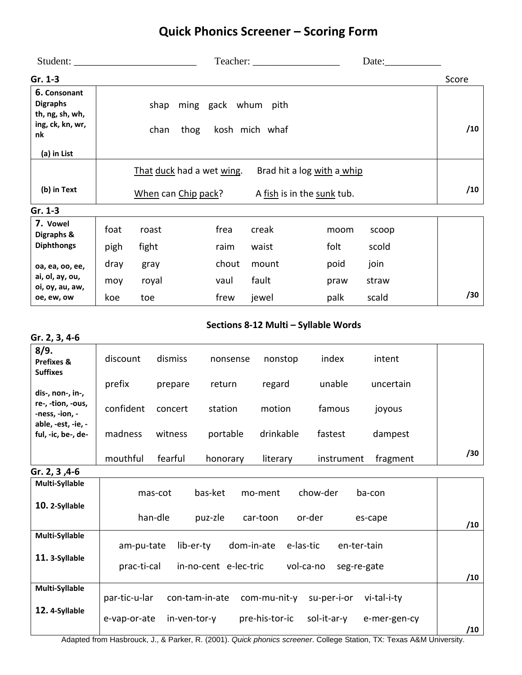## **Quick Phonics Screener – Scoring Form**

|                                                                        | Student:                       |                           |  | Teacher: |                            |  | Date: $\_\_$               |       |  |       |
|------------------------------------------------------------------------|--------------------------------|---------------------------|--|----------|----------------------------|--|----------------------------|-------|--|-------|
| $Gr. 1-3$                                                              |                                |                           |  |          |                            |  |                            |       |  | Score |
| 6. Consonant<br><b>Digraphs</b><br>th, ng, sh, wh,<br>ing, ck, kn, wr, |                                | shap                      |  |          | ming gack whum pith        |  |                            |       |  |       |
| nk                                                                     | kosh mich whaf<br>thog<br>chan |                           |  |          |                            |  |                            | /10   |  |       |
| (a) in List                                                            |                                |                           |  |          |                            |  |                            |       |  |       |
|                                                                        |                                | That duck had a wet wing. |  |          |                            |  | Brad hit a log with a whip |       |  |       |
| (b) in Text                                                            |                                | When can Chip pack?       |  |          | A fish is in the sunk tub. |  |                            |       |  | /10   |
| Gr. 1-3                                                                |                                |                           |  |          |                            |  |                            |       |  |       |
| 7. Vowel<br>Digraphs &                                                 | foat                           | roast                     |  | frea     | creak                      |  | moom                       | scoop |  |       |
| <b>Diphthongs</b>                                                      | pigh                           | fight                     |  | raim     | waist                      |  | folt                       | scold |  |       |
| oa, ea, oo, ee,                                                        | dray                           | gray                      |  | chout    | mount                      |  | poid                       | join  |  |       |
| ai, ol, ay, ou,<br>oi, oy, au, aw,                                     | moy                            | royal                     |  | vaul     | fault                      |  | praw                       | straw |  |       |
| oe, ew, ow                                                             | koe                            | toe                       |  | frew     | jewel                      |  | palk                       | scald |  | /30   |

#### **Sections 8-12 Multi – Syllable Words**

| Gr. 2, 3, 4-6                                    |               |              |                       |                |             |              |     |
|--------------------------------------------------|---------------|--------------|-----------------------|----------------|-------------|--------------|-----|
| 8/9.<br><b>Prefixes &amp;</b><br><b>Suffixes</b> | discount      | dismiss      | nonsense              | nonstop        | index       | intent       |     |
| dis-, non-, in-,                                 | prefix        | prepare      | return                | regard         | unable      | uncertain    |     |
| re-, -tion, -ous,<br>-ness, -ion, -              | confident     | concert      | station               | motion         | famous      | joyous       |     |
| able, -est, -ie, -<br>ful, -ic, be-, de-         | madness       | witness      | portable              | drinkable      | fastest     | dampest      |     |
|                                                  | mouthful      | fearful      | honorary              | literary       | instrument  | fragment     | /30 |
| Gr. 2, 3, 4-6                                    |               |              |                       |                |             |              |     |
| Multi-Syllable                                   |               | mas-cot      | bas-ket               | mo-ment        | chow-der    | ba-con       |     |
| 10. 2-Syllable                                   |               |              |                       |                |             |              |     |
|                                                  |               | han-dle      | puz-zle               | car-toon       | or-der      | es-cape      | /10 |
| Multi-Syllable                                   | am-pu-tate    | lib-er-ty    | dom-in-ate            | e-las-tic      | en-ter-tain |              |     |
| 11. 3-Syllable                                   |               |              |                       |                |             |              |     |
|                                                  | prac-ti-cal   |              | in-no-cent e-lec-tric | vol-ca-no      | seg-re-gate |              | /10 |
| Multi-Syllable                                   | par-tic-u-lar |              | con-tam-in-ate        | com-mu-nit-y   | su-per-i-or | vi-tal-i-ty  |     |
| 12. 4-Syllable                                   |               |              |                       |                |             |              |     |
|                                                  | e-vap-or-ate  | in-ven-tor-y |                       | pre-his-tor-ic | sol-it-ar-y | e-mer-gen-cy | /10 |

Adapted from Hasbrouck, J., & Parker, R. (2001). *Quick phonics screener*. College Station, TX: Texas A&M University.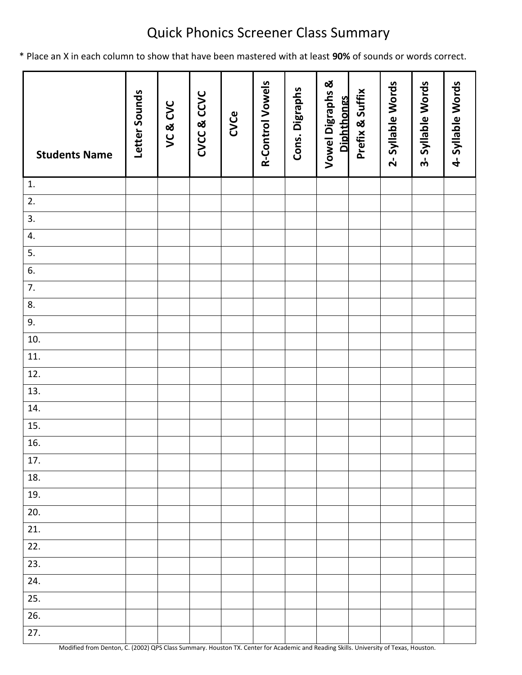## Quick Phonics Screener Class Summary

\* Place an X in each column to show that have been mastered with at least **90%** of sounds or words correct.

| <b>Students Name</b> | Letter Sounds | VC&CVC | CVCC & CCVC | CVCe | <b>R-Control Vowels</b> | Cons. Digraphs | <b>Vowel Digraphs &amp;</b><br><b>Diphthongs</b> | Prefix & Suffix | 2-Syllable Words | 3-Syllable Words | 4-Syllable Words |
|----------------------|---------------|--------|-------------|------|-------------------------|----------------|--------------------------------------------------|-----------------|------------------|------------------|------------------|
| 1.                   |               |        |             |      |                         |                |                                                  |                 |                  |                  |                  |
| 2.                   |               |        |             |      |                         |                |                                                  |                 |                  |                  |                  |
| 3.                   |               |        |             |      |                         |                |                                                  |                 |                  |                  |                  |
| 4.                   |               |        |             |      |                         |                |                                                  |                 |                  |                  |                  |
| 5.                   |               |        |             |      |                         |                |                                                  |                 |                  |                  |                  |
| 6.                   |               |        |             |      |                         |                |                                                  |                 |                  |                  |                  |
| 7.                   |               |        |             |      |                         |                |                                                  |                 |                  |                  |                  |
| 8.                   |               |        |             |      |                         |                |                                                  |                 |                  |                  |                  |
| 9.                   |               |        |             |      |                         |                |                                                  |                 |                  |                  |                  |
| 10.                  |               |        |             |      |                         |                |                                                  |                 |                  |                  |                  |
| 11.                  |               |        |             |      |                         |                |                                                  |                 |                  |                  |                  |
| 12.                  |               |        |             |      |                         |                |                                                  |                 |                  |                  |                  |
| 13.                  |               |        |             |      |                         |                |                                                  |                 |                  |                  |                  |
| 14.                  |               |        |             |      |                         |                |                                                  |                 |                  |                  |                  |
| 15.                  |               |        |             |      |                         |                |                                                  |                 |                  |                  |                  |
| 16.                  |               |        |             |      |                         |                |                                                  |                 |                  |                  |                  |
| 17.                  |               |        |             |      |                         |                |                                                  |                 |                  |                  |                  |
| 18.                  |               |        |             |      |                         |                |                                                  |                 |                  |                  |                  |
| 19.                  |               |        |             |      |                         |                |                                                  |                 |                  |                  |                  |
| 20.                  |               |        |             |      |                         |                |                                                  |                 |                  |                  |                  |
| 21.                  |               |        |             |      |                         |                |                                                  |                 |                  |                  |                  |
| 22.                  |               |        |             |      |                         |                |                                                  |                 |                  |                  |                  |
| 23.                  |               |        |             |      |                         |                |                                                  |                 |                  |                  |                  |
| 24.                  |               |        |             |      |                         |                |                                                  |                 |                  |                  |                  |
| 25.                  |               |        |             |      |                         |                |                                                  |                 |                  |                  |                  |
| 26.                  |               |        |             |      |                         |                |                                                  |                 |                  |                  |                  |
| 27.                  |               |        |             |      |                         |                |                                                  |                 |                  |                  |                  |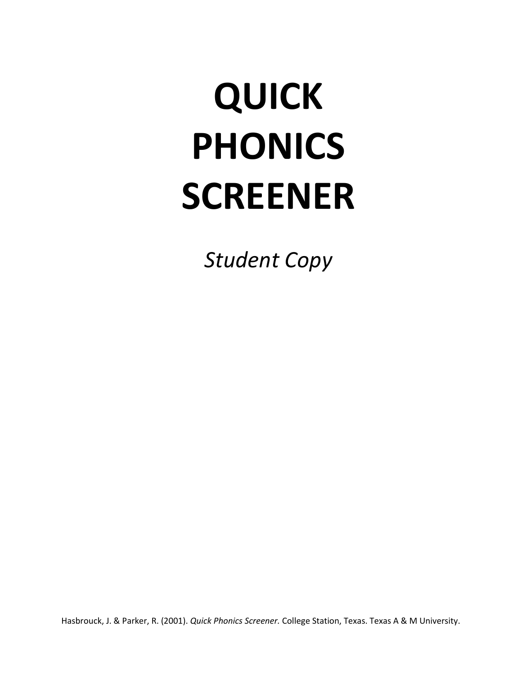## **QUICK PHONICS SCREENER**

*Student Copy*

Hasbrouck, J. & Parker, R. (2001). *Quick Phonics Screener.* College Station, Texas. Texas A & M University.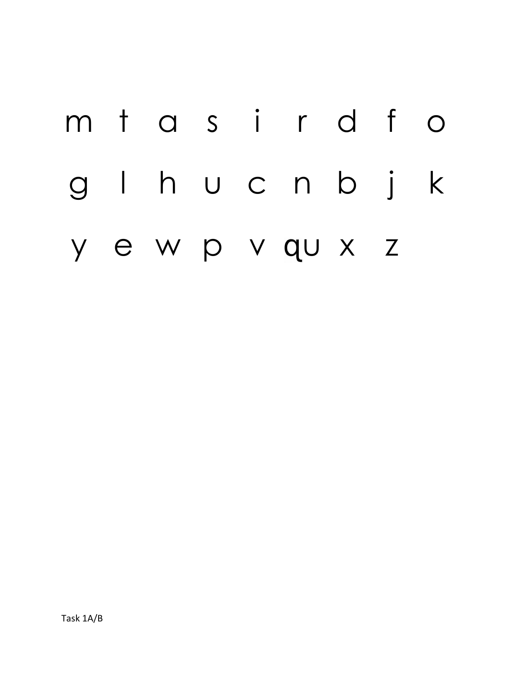# m t a s i r d f o g l h u c n b j k y e w p v q[u](http://www.bing.com/images/search?q=q+font+with+a+tail&view=detailv2&&&id=8CDA59FA5B664689AB507AF1460600334B2C5702&selectedIndex=0&ccid=xJHIE4yG&simid=607989613832440065&thid=JN.XDVQC%2fU5sSggd0A8GwQIiw) x z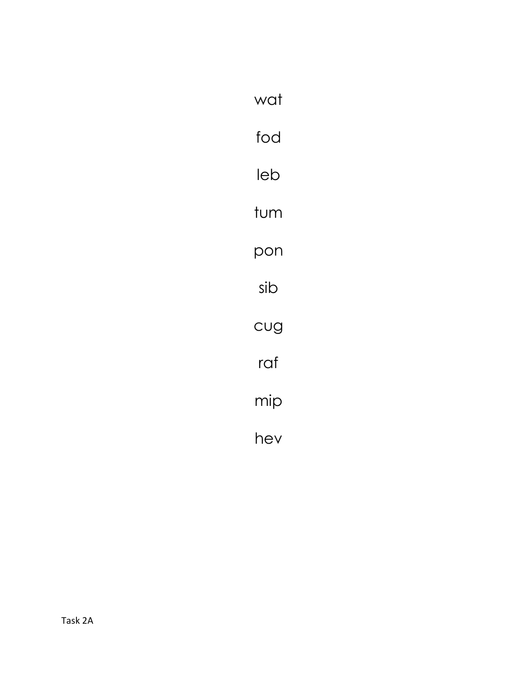| wat |
|-----|
| fod |
| leb |
| tum |
| pon |
| sib |
| CUG |
| raf |
| mip |
| hev |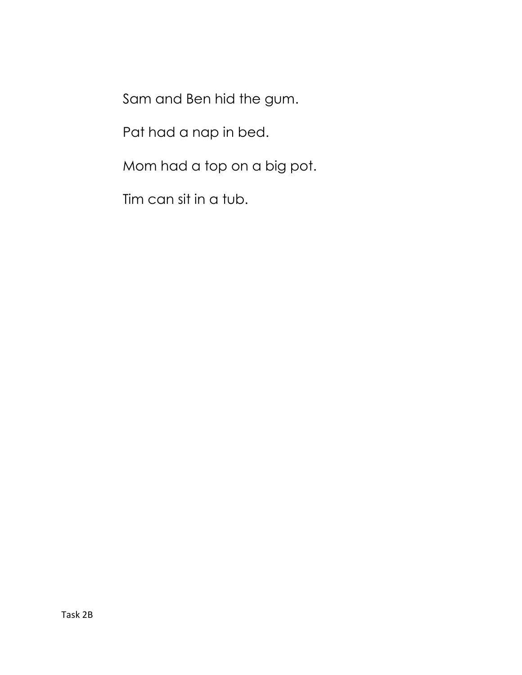Sam and Ben hid the gum.

Pat had a nap in bed.

Mom had a top on a big pot.

Tim can sit in a tub.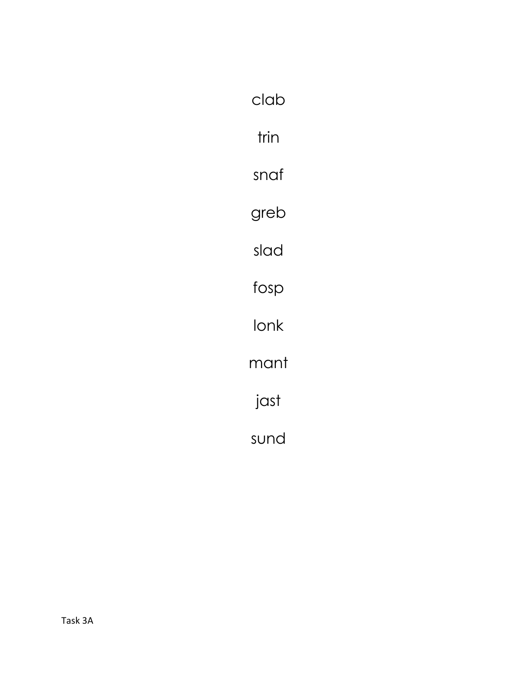| clab |
|------|
| trin |
| snaf |
| greb |
| slad |
| fosp |
| lonk |
| mant |
| jast |
| sund |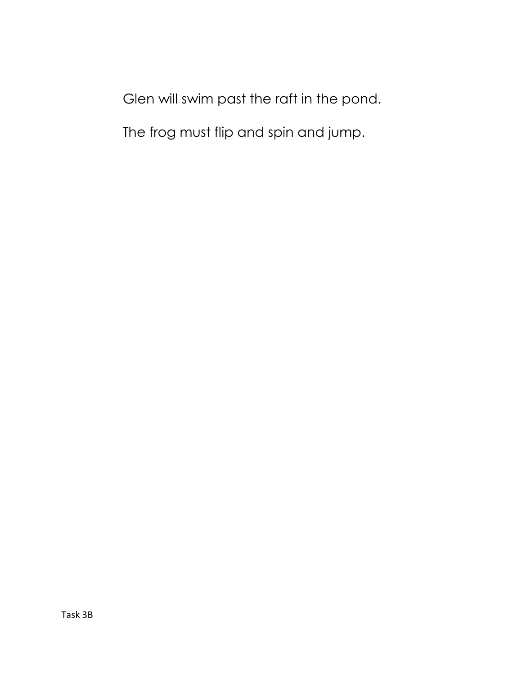Glen will swim past the raft in the pond.

The frog must flip and spin and jump.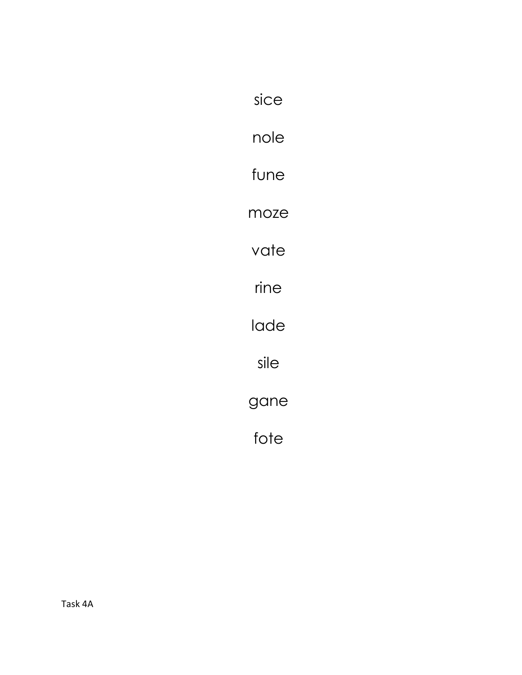| sice |
|------|
| nole |
| fune |
| moze |
| vate |
| rine |
| lade |
| sile |
| gane |
| fote |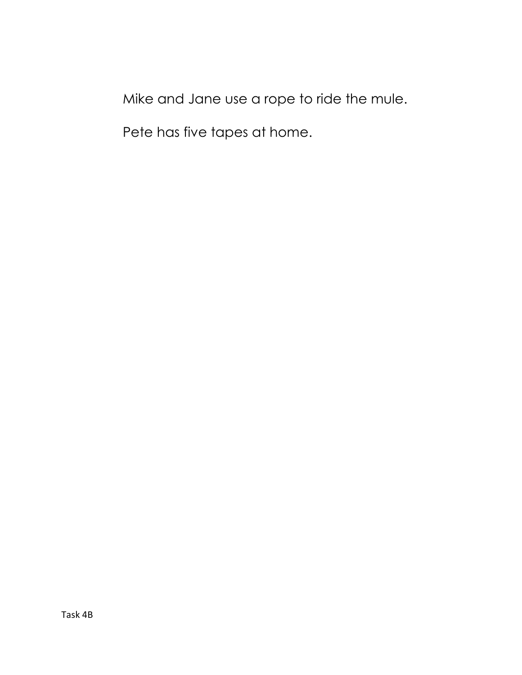Mike and Jane use a rope to ride the mule.

Pete has five tapes at home.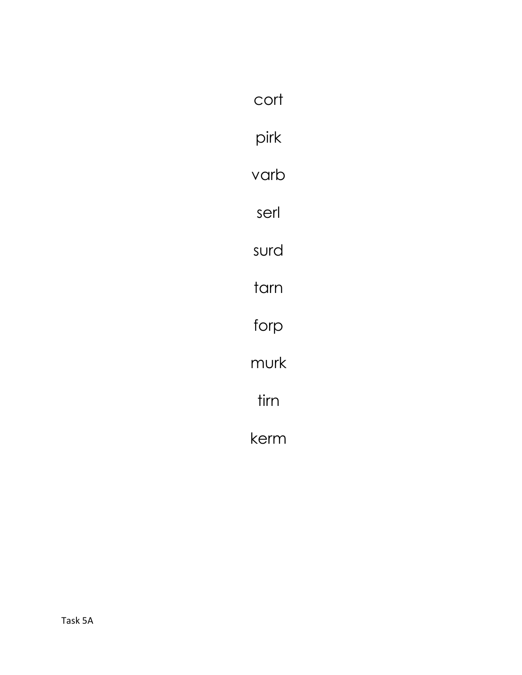| cort |  |
|------|--|
| pirk |  |
| varb |  |
| serl |  |
| surd |  |
| tarn |  |
| forp |  |
| murk |  |
| tirn |  |
| kerm |  |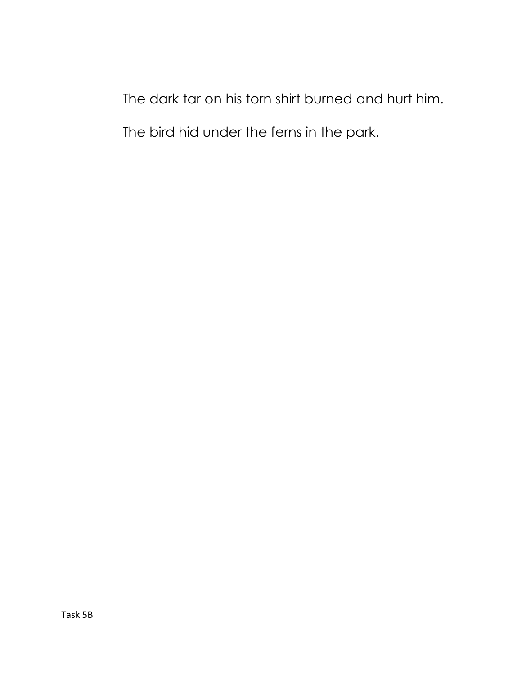The dark tar on his torn shirt burned and hurt him. The bird hid under the ferns in the park.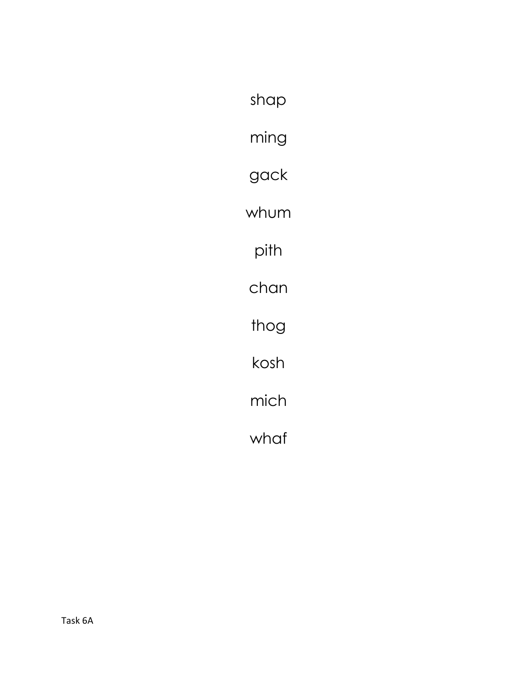shap ming gack whum pith chan thog kosh mich whaf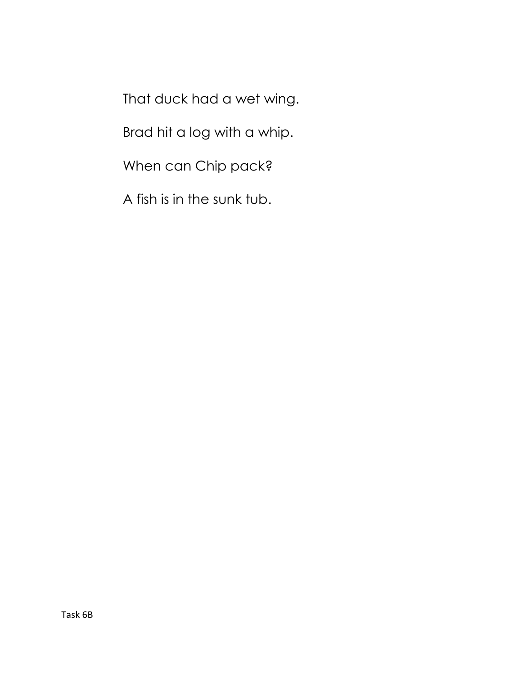That duck had a wet wing.

Brad hit a log with a whip.

When can Chip pack?

A fish is in the sunk tub.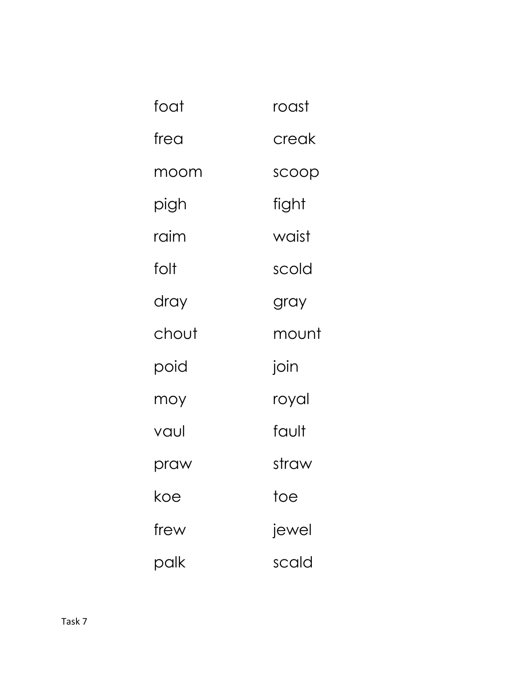| foat  | roast |
|-------|-------|
| frea  | creak |
| moom  | scoop |
| pigh  | fight |
| raim  | waist |
| folt  | scold |
| dray  | gray  |
| chout | mount |
| poid  | join  |
| moy   | royal |
| vaul  | fault |
| praw  | straw |
| koe   | toe   |
| frew  | jewel |
| palk  | scald |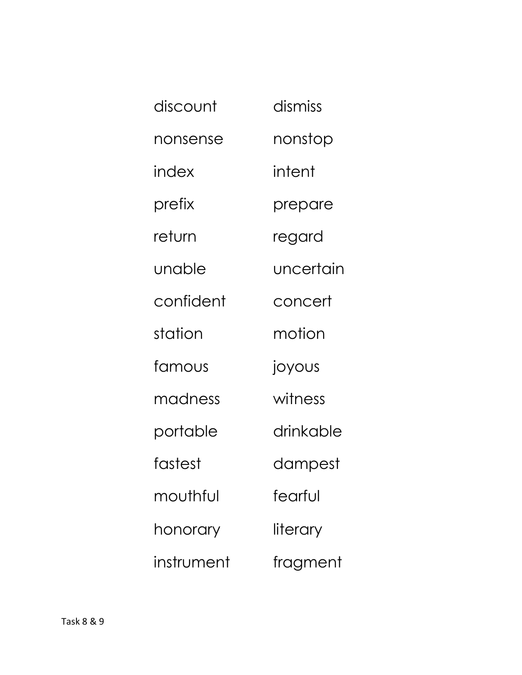| discount   | dismiss   |
|------------|-----------|
| nonsense   | nonstop   |
| index      | intent    |
| prefix     | prepare   |
| return     | regard    |
| unable     | uncertain |
| confident  | concert   |
| station    | motion    |
| famous     | joyous    |
| madness    | witness   |
| portable   | drinkable |
| fastest    | dampest   |
| mouthful   | fearful   |
| honorary   | literary  |
| instrument | fragment  |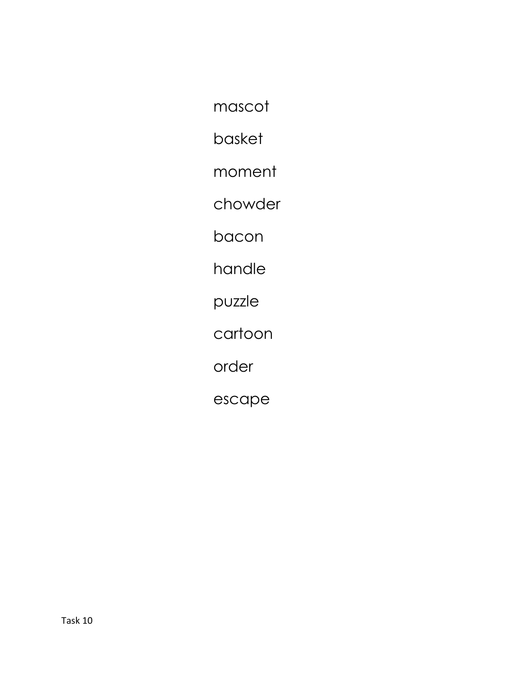mascot

basket

moment

chowder

bacon

handle

puzzle

cartoon

order

escape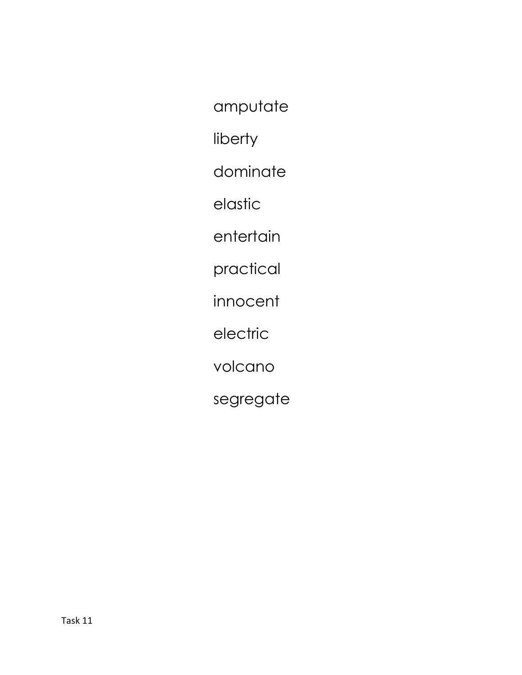amputate

liberty

dominate

elastic

entertain

practical

innocent

electric

volcano

segregate